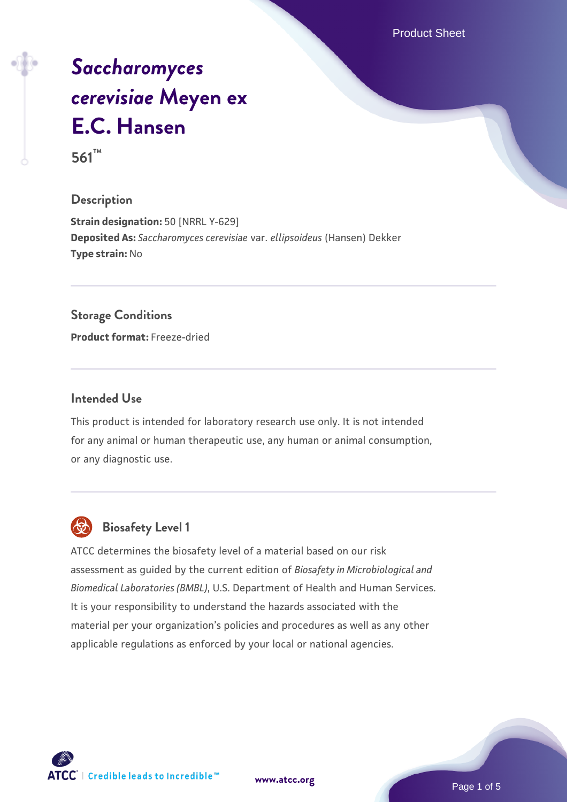Product Sheet

# *[Saccharomyces](https://www.atcc.org/products/561) [cerevisiae](https://www.atcc.org/products/561)* **[Meyen ex](https://www.atcc.org/products/561) [E.C. Hansen](https://www.atcc.org/products/561)**

**561™**

#### **Description**

**Strain designation:** 50 [NRRL Y-629] **Deposited As:** *Saccharomyces cerevisiae* var. *ellipsoideus* (Hansen) Dekker **Type strain:** No

#### **Storage Conditions**

**Product format:** Freeze-dried

#### **Intended Use**

This product is intended for laboratory research use only. It is not intended for any animal or human therapeutic use, any human or animal consumption, or any diagnostic use.



# **Biosafety Level 1**

ATCC determines the biosafety level of a material based on our risk assessment as guided by the current edition of *Biosafety in Microbiological and Biomedical Laboratories (BMBL)*, U.S. Department of Health and Human Services. It is your responsibility to understand the hazards associated with the material per your organization's policies and procedures as well as any other applicable regulations as enforced by your local or national agencies.

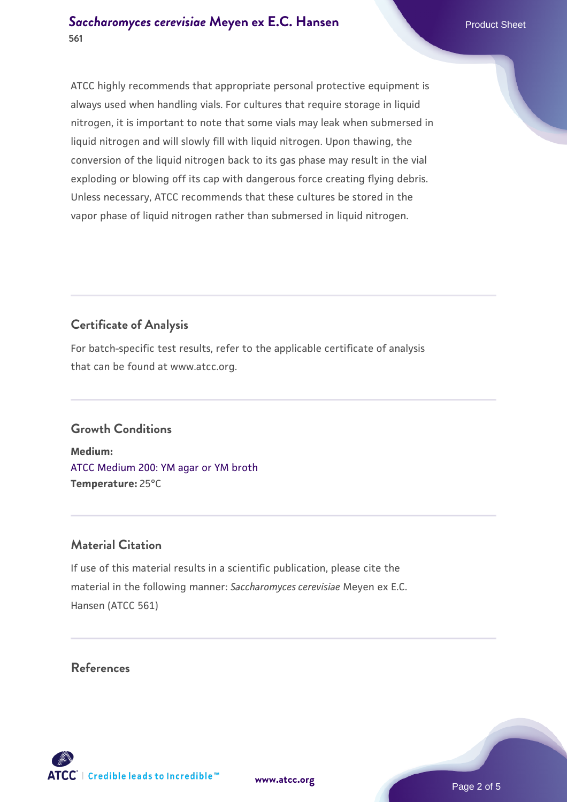ATCC highly recommends that appropriate personal protective equipment is always used when handling vials. For cultures that require storage in liquid nitrogen, it is important to note that some vials may leak when submersed in liquid nitrogen and will slowly fill with liquid nitrogen. Upon thawing, the conversion of the liquid nitrogen back to its gas phase may result in the vial exploding or blowing off its cap with dangerous force creating flying debris. Unless necessary, ATCC recommends that these cultures be stored in the vapor phase of liquid nitrogen rather than submersed in liquid nitrogen.

# **Certificate of Analysis**

For batch-specific test results, refer to the applicable certificate of analysis that can be found at www.atcc.org.

# **Growth Conditions**

**Medium:**  [ATCC Medium 200: YM agar or YM broth](https://www.atcc.org/-/media/product-assets/documents/microbial-media-formulations/2/0/0/atcc-medium-200.pdf?rev=ac40fd74dc13433a809367b0b9da30fc) **Temperature:** 25°C

# **Material Citation**

If use of this material results in a scientific publication, please cite the material in the following manner: *Saccharomyces cerevisiae* Meyen ex E.C. Hansen (ATCC 561)

## **References**

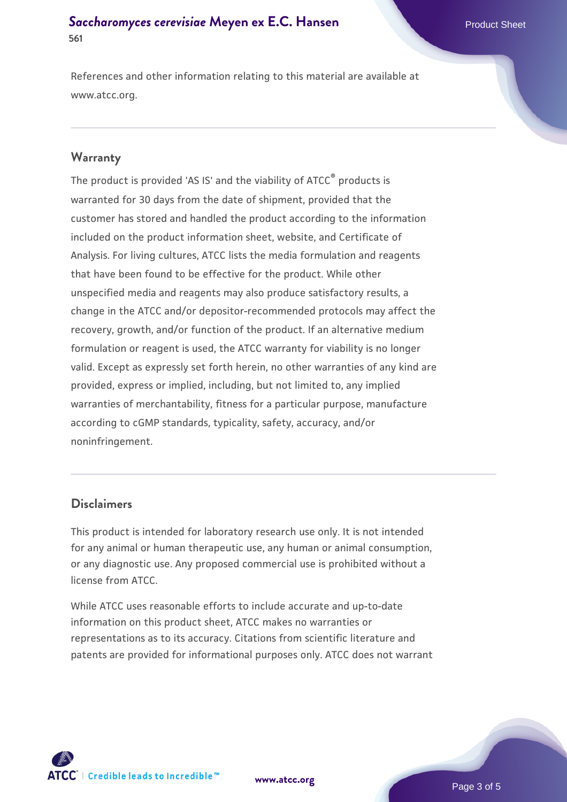## **[Saccharomyces cerevisiae](https://www.atcc.org/products/561)** [Meyen ex E.C. Hansen](https://www.atcc.org/products/561) **561**

References and other information relating to this material are available at www.atcc.org.

#### **Warranty**

The product is provided 'AS IS' and the viability of ATCC® products is warranted for 30 days from the date of shipment, provided that the customer has stored and handled the product according to the information included on the product information sheet, website, and Certificate of Analysis. For living cultures, ATCC lists the media formulation and reagents that have been found to be effective for the product. While other unspecified media and reagents may also produce satisfactory results, a change in the ATCC and/or depositor-recommended protocols may affect the recovery, growth, and/or function of the product. If an alternative medium formulation or reagent is used, the ATCC warranty for viability is no longer valid. Except as expressly set forth herein, no other warranties of any kind are provided, express or implied, including, but not limited to, any implied warranties of merchantability, fitness for a particular purpose, manufacture according to cGMP standards, typicality, safety, accuracy, and/or noninfringement.

#### **Disclaimers**

This product is intended for laboratory research use only. It is not intended for any animal or human therapeutic use, any human or animal consumption, or any diagnostic use. Any proposed commercial use is prohibited without a license from ATCC.

While ATCC uses reasonable efforts to include accurate and up-to-date information on this product sheet, ATCC makes no warranties or representations as to its accuracy. Citations from scientific literature and patents are provided for informational purposes only. ATCC does not warrant



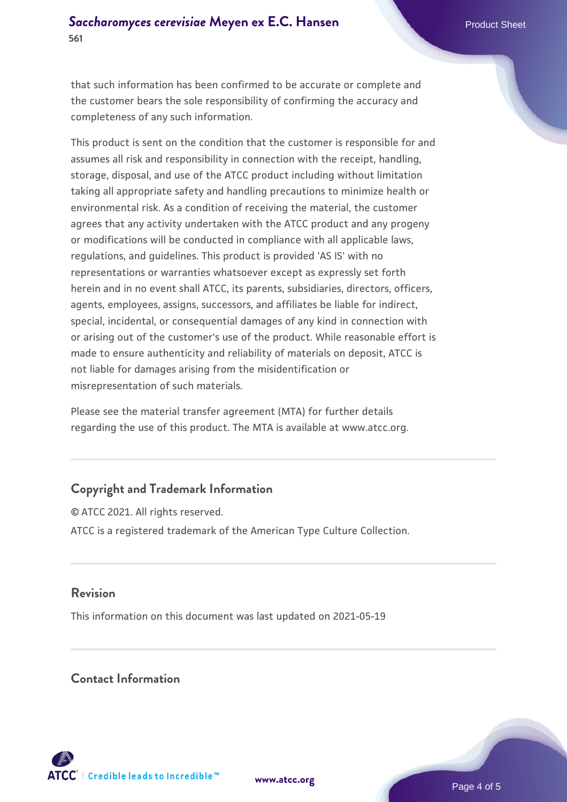that such information has been confirmed to be accurate or complete and the customer bears the sole responsibility of confirming the accuracy and completeness of any such information.

This product is sent on the condition that the customer is responsible for and assumes all risk and responsibility in connection with the receipt, handling, storage, disposal, and use of the ATCC product including without limitation taking all appropriate safety and handling precautions to minimize health or environmental risk. As a condition of receiving the material, the customer agrees that any activity undertaken with the ATCC product and any progeny or modifications will be conducted in compliance with all applicable laws, regulations, and guidelines. This product is provided 'AS IS' with no representations or warranties whatsoever except as expressly set forth herein and in no event shall ATCC, its parents, subsidiaries, directors, officers, agents, employees, assigns, successors, and affiliates be liable for indirect, special, incidental, or consequential damages of any kind in connection with or arising out of the customer's use of the product. While reasonable effort is made to ensure authenticity and reliability of materials on deposit, ATCC is not liable for damages arising from the misidentification or misrepresentation of such materials.

Please see the material transfer agreement (MTA) for further details regarding the use of this product. The MTA is available at www.atcc.org.

# **Copyright and Trademark Information**

© ATCC 2021. All rights reserved. ATCC is a registered trademark of the American Type Culture Collection.

### **Revision**

This information on this document was last updated on 2021-05-19

### **Contact Information**



**[www.atcc.org](http://www.atcc.org)**